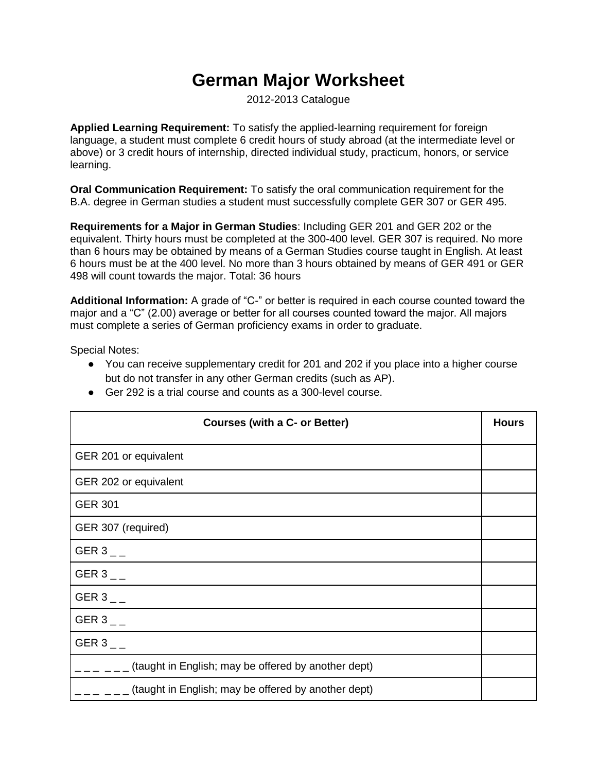## **German Major Worksheet**

2012-2013 Catalogue

**Applied Learning Requirement:** To satisfy the applied-learning requirement for foreign language, a student must complete 6 credit hours of study abroad (at the intermediate level or above) or 3 credit hours of internship, directed individual study, practicum, honors, or service learning.

**Oral Communication Requirement:** To satisfy the oral communication requirement for the B.A. degree in German studies a student must successfully complete GER 307 or GER 495.

**Requirements for a Major in German Studies**: Including GER 201 and GER 202 or the equivalent. Thirty hours must be completed at the 300-400 level. GER 307 is required. No more than 6 hours may be obtained by means of a German Studies course taught in English. At least 6 hours must be at the 400 level. No more than 3 hours obtained by means of GER 491 or GER 498 will count towards the major. Total: 36 hours

**Additional Information:** A grade of "C-" or better is required in each course counted toward the major and a "C" (2.00) average or better for all courses counted toward the major. All majors must complete a series of German proficiency exams in order to graduate.

Special Notes:

● You can receive supplementary credit for 201 and 202 if you place into a higher course but do not transfer in any other German credits (such as AP).

| <b>Courses (with a C- or Better)</b>                | <b>Hours</b> |
|-----------------------------------------------------|--------------|
| GER 201 or equivalent                               |              |
| GER 202 or equivalent                               |              |
| <b>GER 301</b>                                      |              |
| GER 307 (required)                                  |              |
| GER 3 $_{-}$                                        |              |
| GER 3 $_{-}$                                        |              |
| GER 3 $-$                                           |              |
| GER 3 $_{--}$                                       |              |
| GER 3 $-$                                           |              |
| (taught in English; may be offered by another dept) |              |
| (taught in English; may be offered by another dept) |              |

● Ger 292 is a trial course and counts as a 300-level course.